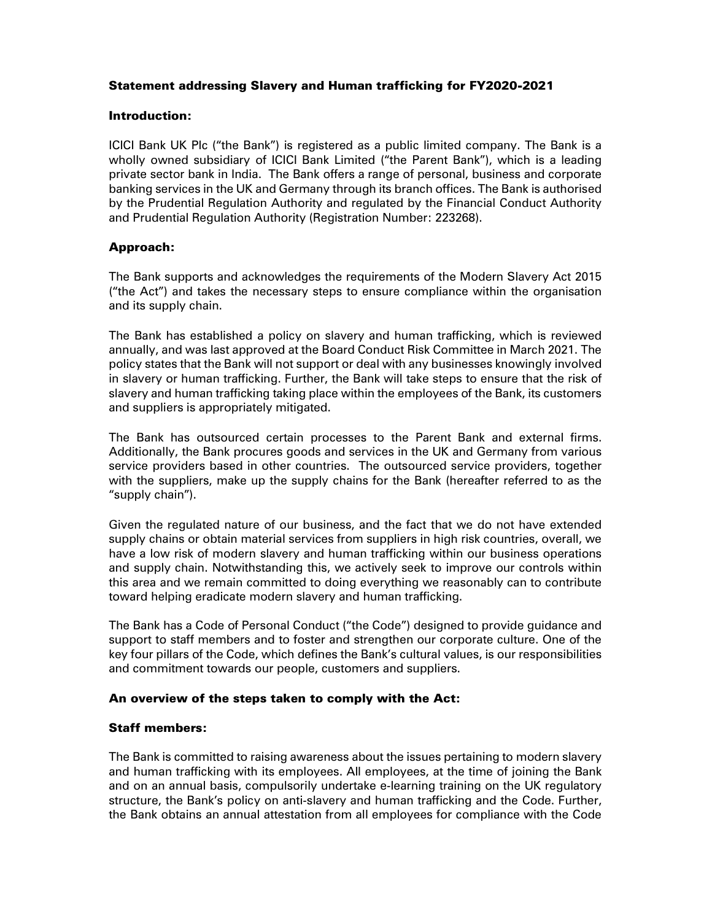# Statement addressing Slavery and Human trafficking for FY2020-2021

#### Introduction:

ICICI Bank UK Plc ("the Bank") is registered as a public limited company. The Bank is a wholly owned subsidiary of ICICI Bank Limited ("the Parent Bank"), which is a leading private sector bank in India. The Bank offers a range of personal, business and corporate banking services in the UK and Germany through its branch offices. The Bank is authorised by the Prudential Regulation Authority and regulated by the Financial Conduct Authority and Prudential Regulation Authority (Registration Number: 223268).

## Approach:

The Bank supports and acknowledges the requirements of the Modern Slavery Act 2015 ("the Act") and takes the necessary steps to ensure compliance within the organisation and its supply chain.

The Bank has established a policy on slavery and human trafficking, which is reviewed annually, and was last approved at the Board Conduct Risk Committee in March 2021. The policy states that the Bank will not support or deal with any businesses knowingly involved in slavery or human trafficking. Further, the Bank will take steps to ensure that the risk of slavery and human trafficking taking place within the employees of the Bank, its customers and suppliers is appropriately mitigated.

The Bank has outsourced certain processes to the Parent Bank and external firms. Additionally, the Bank procures goods and services in the UK and Germany from various service providers based in other countries. The outsourced service providers, together with the suppliers, make up the supply chains for the Bank (hereafter referred to as the "supply chain").

Given the regulated nature of our business, and the fact that we do not have extended supply chains or obtain material services from suppliers in high risk countries, overall, we have a low risk of modern slavery and human trafficking within our business operations and supply chain. Notwithstanding this, we actively seek to improve our controls within this area and we remain committed to doing everything we reasonably can to contribute toward helping eradicate modern slavery and human trafficking.

The Bank has a Code of Personal Conduct ("the Code") designed to provide guidance and support to staff members and to foster and strengthen our corporate culture. One of the key four pillars of the Code, which defines the Bank's cultural values, is our responsibilities and commitment towards our people, customers and suppliers.

## An overview of the steps taken to comply with the Act:

## Staff members:

The Bank is committed to raising awareness about the issues pertaining to modern slavery and human trafficking with its employees. All employees, at the time of joining the Bank and on an annual basis, compulsorily undertake e-learning training on the UK regulatory structure, the Bank's policy on anti-slavery and human trafficking and the Code. Further, the Bank obtains an annual attestation from all employees for compliance with the Code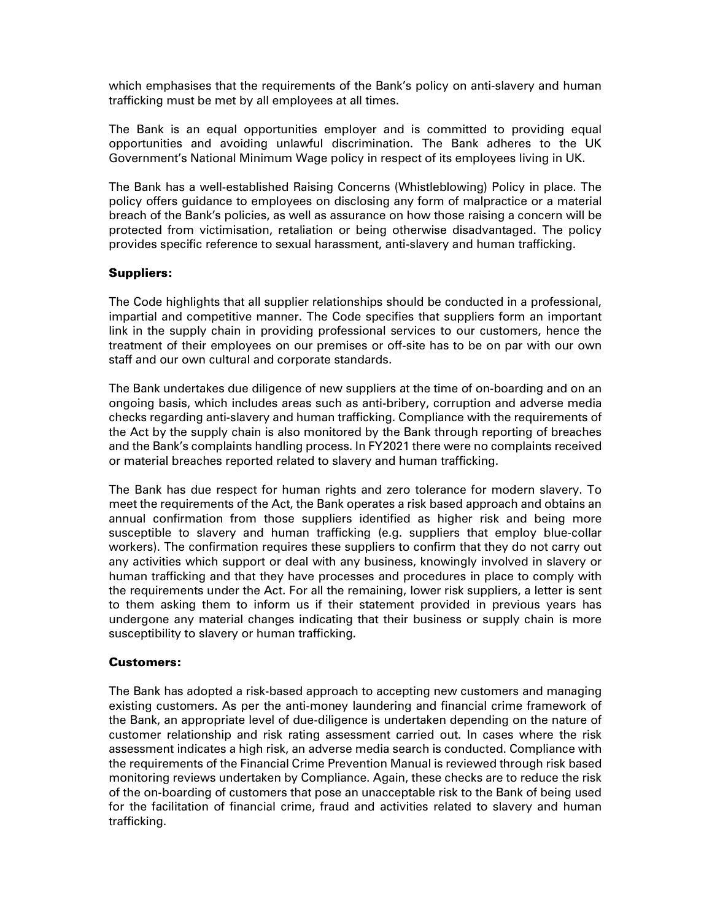which emphasises that the requirements of the Bank's policy on anti-slavery and human trafficking must be met by all employees at all times.

The Bank is an equal opportunities employer and is committed to providing equal opportunities and avoiding unlawful discrimination. The Bank adheres to the UK Government's National Minimum Wage policy in respect of its employees living in UK.

The Bank has a well-established Raising Concerns (Whistleblowing) Policy in place. The policy offers guidance to employees on disclosing any form of malpractice or a material breach of the Bank's policies, as well as assurance on how those raising a concern will be protected from victimisation, retaliation or being otherwise disadvantaged. The policy provides specific reference to sexual harassment, anti-slavery and human trafficking.

#### Suppliers:

The Code highlights that all supplier relationships should be conducted in a professional, impartial and competitive manner. The Code specifies that suppliers form an important link in the supply chain in providing professional services to our customers, hence the treatment of their employees on our premises or off-site has to be on par with our own staff and our own cultural and corporate standards.

The Bank undertakes due diligence of new suppliers at the time of on-boarding and on an ongoing basis, which includes areas such as anti-bribery, corruption and adverse media checks regarding anti-slavery and human trafficking. Compliance with the requirements of the Act by the supply chain is also monitored by the Bank through reporting of breaches and the Bank's complaints handling process. In FY2021 there were no complaints received or material breaches reported related to slavery and human trafficking.

The Bank has due respect for human rights and zero tolerance for modern slavery. To meet the requirements of the Act, the Bank operates a risk based approach and obtains an annual confirmation from those suppliers identified as higher risk and being more susceptible to slavery and human trafficking (e.g. suppliers that employ blue-collar workers). The confirmation requires these suppliers to confirm that they do not carry out any activities which support or deal with any business, knowingly involved in slavery or human trafficking and that they have processes and procedures in place to comply with the requirements under the Act. For all the remaining, lower risk suppliers, a letter is sent to them asking them to inform us if their statement provided in previous years has undergone any material changes indicating that their business or supply chain is more susceptibility to slavery or human trafficking.

#### Customers:

The Bank has adopted a risk-based approach to accepting new customers and managing existing customers. As per the anti-money laundering and financial crime framework of the Bank, an appropriate level of due-diligence is undertaken depending on the nature of customer relationship and risk rating assessment carried out. In cases where the risk assessment indicates a high risk, an adverse media search is conducted. Compliance with the requirements of the Financial Crime Prevention Manual is reviewed through risk based monitoring reviews undertaken by Compliance. Again, these checks are to reduce the risk of the on-boarding of customers that pose an unacceptable risk to the Bank of being used for the facilitation of financial crime, fraud and activities related to slavery and human trafficking.